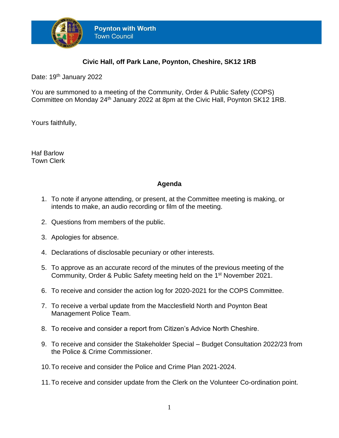

## **Civic Hall, off Park Lane, Poynton, Cheshire, SK12 1RB**

Date: 19<sup>th</sup> January 2022

You are summoned to a meeting of the Community, Order & Public Safety (COPS) Committee on Monday 24<sup>th</sup> January 2022 at 8pm at the Civic Hall, Poynton SK12 1RB.

Yours faithfully,

Haf Barlow Town Clerk

## **Agenda**

- 1. To note if anyone attending, or present, at the Committee meeting is making, or intends to make, an audio recording or film of the meeting.
- 2. Questions from members of the public.
- 3. Apologies for absence.
- 4. Declarations of disclosable pecuniary or other interests.
- 5. To approve as an accurate record of the minutes of the previous meeting of the Community, Order & Public Safety meeting held on the 1<sup>st</sup> November 2021.
- 6. To receive and consider the action log for 2020-2021 for the COPS Committee.
- 7. To receive a verbal update from the Macclesfield North and Poynton Beat Management Police Team.
- 8. To receive and consider a report from Citizen's Advice North Cheshire.
- 9. To receive and consider the Stakeholder Special Budget Consultation 2022/23 from the Police & Crime Commissioner.
- 10.To receive and consider the Police and Crime Plan 2021-2024.
- 11.To receive and consider update from the Clerk on the Volunteer Co-ordination point.